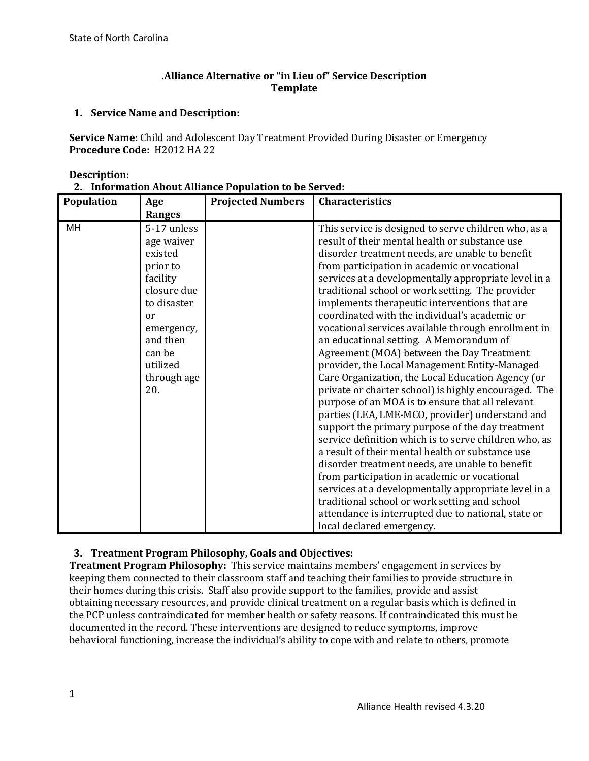## **.Alliance Alternative or "in Lieu of" Service Description Template**

## **1. Service Name and Description:**

**Service Name:** Child and Adolescent Day Treatment Provided During Disaster or Emergency **Procedure Code:** H2012 HA 22

#### **Description:**

|  | 2. Information About Alliance Population to be Served: |
|--|--------------------------------------------------------|
|--|--------------------------------------------------------|

| Population | Age                                                                                                                                                                                     | <b>Projected Numbers</b> | Characteristics                                                                                                                                                                                                                                                                                                                                                                                                                                                                                                                                                                                                                                                                                                                                                                                                                                                                                                                                                                                                                                                                                                 |
|------------|-----------------------------------------------------------------------------------------------------------------------------------------------------------------------------------------|--------------------------|-----------------------------------------------------------------------------------------------------------------------------------------------------------------------------------------------------------------------------------------------------------------------------------------------------------------------------------------------------------------------------------------------------------------------------------------------------------------------------------------------------------------------------------------------------------------------------------------------------------------------------------------------------------------------------------------------------------------------------------------------------------------------------------------------------------------------------------------------------------------------------------------------------------------------------------------------------------------------------------------------------------------------------------------------------------------------------------------------------------------|
| MH         | <b>Ranges</b><br>5-17 unless<br>age waiver<br>existed<br>prior to<br>facility<br>closure due<br>to disaster<br>or<br>emergency,<br>and then<br>can be<br>utilized<br>through age<br>20. |                          | This service is designed to serve children who, as a<br>result of their mental health or substance use<br>disorder treatment needs, are unable to benefit<br>from participation in academic or vocational<br>services at a developmentally appropriate level in a<br>traditional school or work setting. The provider<br>implements therapeutic interventions that are<br>coordinated with the individual's academic or<br>vocational services available through enrollment in<br>an educational setting. A Memorandum of<br>Agreement (MOA) between the Day Treatment<br>provider, the Local Management Entity-Managed<br>Care Organization, the Local Education Agency (or<br>private or charter school) is highly encouraged. The<br>purpose of an MOA is to ensure that all relevant<br>parties (LEA, LME-MCO, provider) understand and<br>support the primary purpose of the day treatment<br>service definition which is to serve children who, as<br>a result of their mental health or substance use<br>disorder treatment needs, are unable to benefit<br>from participation in academic or vocational |
|            |                                                                                                                                                                                         |                          | services at a developmentally appropriate level in a<br>traditional school or work setting and school<br>attendance is interrupted due to national, state or<br>local declared emergency.                                                                                                                                                                                                                                                                                                                                                                                                                                                                                                                                                                                                                                                                                                                                                                                                                                                                                                                       |

# **3. Treatment Program Philosophy, Goals and Objectives:**

**Treatment Program Philosophy:** This service maintains members' engagement in services by keeping them connected to their classroom staff and teaching their families to provide structure in their homes during this crisis. Staff also provide support to the families, provide and assist obtaining necessary resources, and provide clinical treatment on a regular basis which is defined in the PCP unless contraindicated for member health or safety reasons. If contraindicated this must be documented in the record. These interventions are designed to reduce symptoms, improve behavioral functioning, increase the individual's ability to cope with and relate to others, promote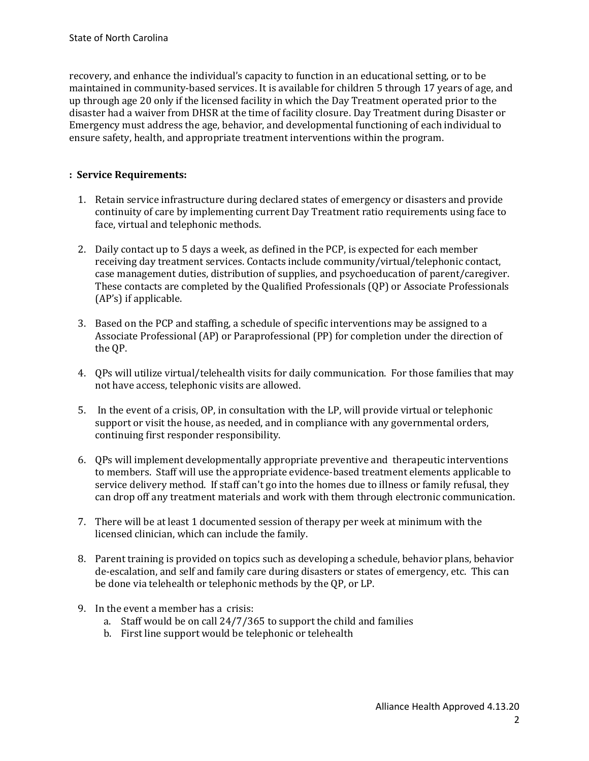recovery, and enhance the individual's capacity to function in an educational setting, or to be maintained in community-based services. It is available for children 5 through 17 years of age, and up through age 20 only if the licensed facility in which the Day Treatment operated prior to the disaster had a waiver from DHSR at the time of facility closure. Day Treatment during Disaster or Emergency must address the age, behavior, and developmental functioning of each individual to ensure safety, health, and appropriate treatment interventions within the program.

#### **: Service Requirements:**

- 1. Retain service infrastructure during declared states of emergency or disasters and provide continuity of care by implementing current Day Treatment ratio requirements using face to face, virtual and telephonic methods.
- 2. Daily contact up to 5 days a week, as defined in the PCP, is expected for each member receiving day treatment services. Contacts include community/virtual/telephonic contact, case management duties, distribution of supplies, and psychoeducation of parent/caregiver. These contacts are completed by the Qualified Professionals (QP) or Associate Professionals (AP's) if applicable.
- 3. Based on the PCP and staffing, a schedule of specific interventions may be assigned to a Associate Professional (AP) or Paraprofessional (PP) for completion under the direction of the QP.
- 4. QPs will utilize virtual/telehealth visits for daily communication. For those families that may not have access, telephonic visits are allowed.
- 5. In the event of a crisis, OP, in consultation with the LP, will provide virtual or telephonic support or visit the house, as needed, and in compliance with any governmental orders, continuing first responder responsibility.
- 6. QPs will implement developmentally appropriate preventive and therapeutic interventions to members. Staff will use the appropriate evidence-based treatment elements applicable to service delivery method. If staff can't go into the homes due to illness or family refusal, they can drop off any treatment materials and work with them through electronic communication.
- 7. There will be at least 1 documented session of therapy per week at minimum with the licensed clinician, which can include the family.
- 8. Parent training is provided on topics such as developing a schedule, behavior plans, behavior de-escalation, and self and family care during disasters or states of emergency, etc. This can be done via telehealth or telephonic methods by the QP, or LP.
- 9. In the event a member has a crisis:
	- a. Staff would be on call 24/7/365 to support the child and families
	- b. First line support would be telephonic or telehealth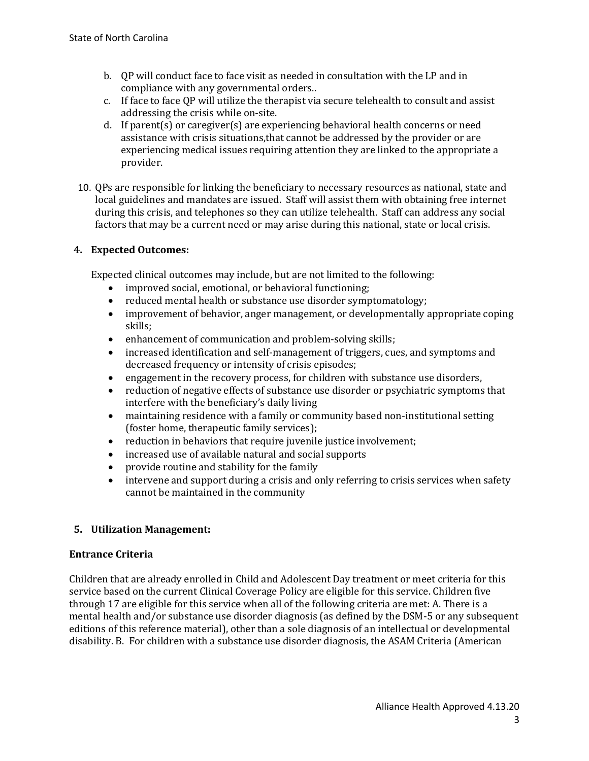- b. QP will conduct face to face visit as needed in consultation with the LP and in compliance with any governmental orders..
- c. If face to face QP will utilize the therapist via secure telehealth to consult and assist addressing the crisis while on-site.
- d. If parent(s) or caregiver(s) are experiencing behavioral health concerns or need assistance with crisis situations,that cannot be addressed by the provider or are experiencing medical issues requiring attention they are linked to the appropriate a provider.
- 10. QPs are responsible for linking the beneficiary to necessary resources as national, state and local guidelines and mandates are issued. Staff will assist them with obtaining free internet during this crisis, and telephones so they can utilize telehealth. Staff can address any social factors that may be a current need or may arise during this national, state or local crisis.

# **4. Expected Outcomes:**

Expected clinical outcomes may include, but are not limited to the following:

- improved social, emotional, or behavioral functioning;
- reduced mental health or substance use disorder symptomatology;
- improvement of behavior, anger management, or developmentally appropriate coping skills;
- enhancement of communication and problem-solving skills;
- increased identification and self-management of triggers, cues, and symptoms and decreased frequency or intensity of crisis episodes;
- engagement in the recovery process, for children with substance use disorders,
- reduction of negative effects of substance use disorder or psychiatric symptoms that interfere with the beneficiary's daily living
- maintaining residence with a family or community based non-institutional setting (foster home, therapeutic family services);
- reduction in behaviors that require juvenile justice involvement;
- increased use of available natural and social supports
- provide routine and stability for the family
- intervene and support during a crisis and only referring to crisis services when safety cannot be maintained in the community

# **5. Utilization Management:**

### **Entrance Criteria**

Children that are already enrolled in Child and Adolescent Day treatment or meet criteria for this service based on the current Clinical Coverage Policy are eligible for this service. Children five through 17 are eligible for this service when all of the following criteria are met: A. There is a mental health and/or substance use disorder diagnosis (as defined by the DSM-5 or any subsequent editions of this reference material), other than a sole diagnosis of an intellectual or developmental disability. B. For children with a substance use disorder diagnosis, the ASAM Criteria (American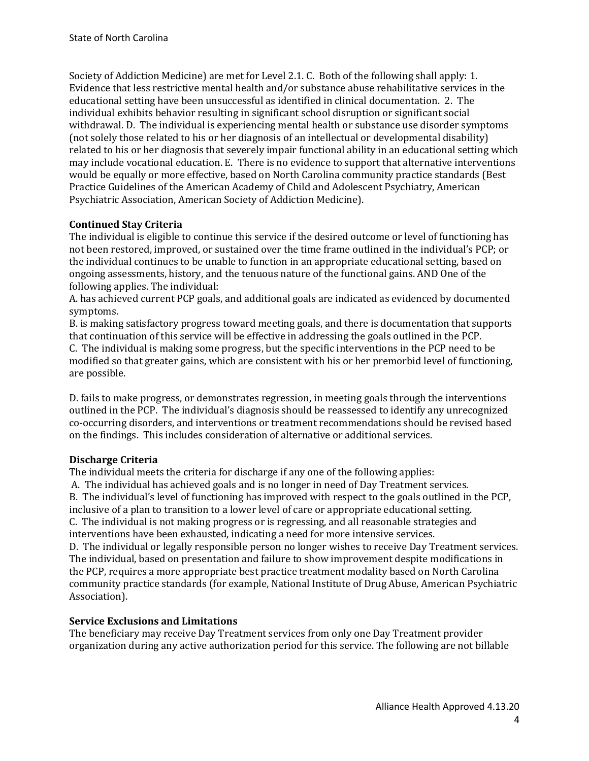Society of Addiction Medicine) are met for Level 2.1. C. Both of the following shall apply: 1. Evidence that less restrictive mental health and/or substance abuse rehabilitative services in the educational setting have been unsuccessful as identified in clinical documentation. 2. The individual exhibits behavior resulting in significant school disruption or significant social withdrawal. D. The individual is experiencing mental health or substance use disorder symptoms (not solely those related to his or her diagnosis of an intellectual or developmental disability) related to his or her diagnosis that severely impair functional ability in an educational setting which may include vocational education. E. There is no evidence to support that alternative interventions would be equally or more effective, based on North Carolina community practice standards (Best Practice Guidelines of the American Academy of Child and Adolescent Psychiatry, American Psychiatric Association, American Society of Addiction Medicine).

#### **Continued Stay Criteria**

The individual is eligible to continue this service if the desired outcome or level of functioning has not been restored, improved, or sustained over the time frame outlined in the individual's PCP; or the individual continues to be unable to function in an appropriate educational setting, based on ongoing assessments, history, and the tenuous nature of the functional gains. AND One of the following applies. The individual:

A. has achieved current PCP goals, and additional goals are indicated as evidenced by documented symptoms.

B. is making satisfactory progress toward meeting goals, and there is documentation that supports that continuation of this service will be effective in addressing the goals outlined in the PCP. C. The individual is making some progress, but the specific interventions in the PCP need to be modified so that greater gains, which are consistent with his or her premorbid level of functioning, are possible.

D. fails to make progress, or demonstrates regression, in meeting goals through the interventions outlined in the PCP. The individual's diagnosis should be reassessed to identify any unrecognized co-occurring disorders, and interventions or treatment recommendations should be revised based on the findings. This includes consideration of alternative or additional services.

### **Discharge Criteria**

The individual meets the criteria for discharge if any one of the following applies:

A. The individual has achieved goals and is no longer in need of Day Treatment services. B. The individual's level of functioning has improved with respect to the goals outlined in the PCP, inclusive of a plan to transition to a lower level of care or appropriate educational setting. C. The individual is not making progress or is regressing, and all reasonable strategies and interventions have been exhausted, indicating a need for more intensive services.

D. The individual or legally responsible person no longer wishes to receive Day Treatment services. The individual, based on presentation and failure to show improvement despite modifications in the PCP, requires a more appropriate best practice treatment modality based on North Carolina community practice standards (for example, National Institute of Drug Abuse, American Psychiatric Association).

#### **Service Exclusions and Limitations**

The beneficiary may receive Day Treatment services from only one Day Treatment provider organization during any active authorization period for this service. The following are not billable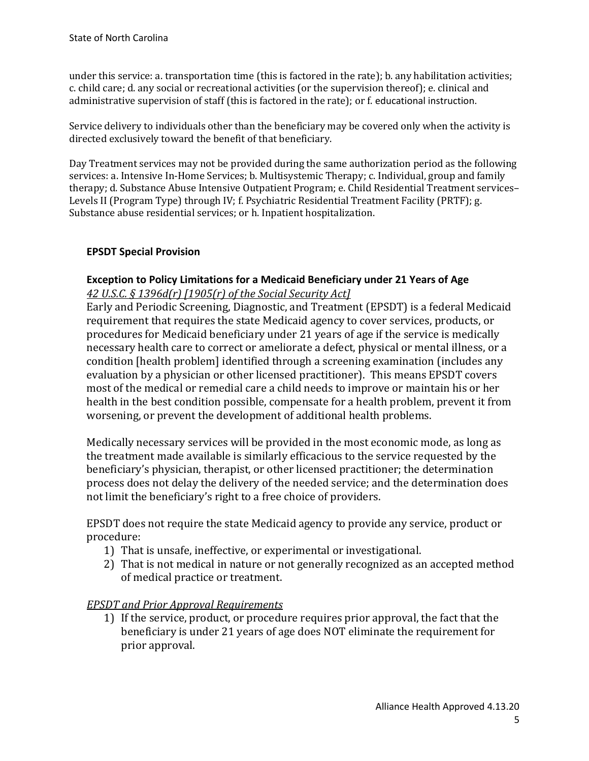under this service: a. transportation time (this is factored in the rate); b. any habilitation activities; c. child care; d. any social or recreational activities (or the supervision thereof); e. clinical and administrative supervision of staff (this is factored in the rate); or f. educational instruction.

Service delivery to individuals other than the beneficiary may be covered only when the activity is directed exclusively toward the benefit of that beneficiary.

Day Treatment services may not be provided during the same authorization period as the following services: a. Intensive In-Home Services; b. Multisystemic Therapy; c. Individual, group and family therapy; d. Substance Abuse Intensive Outpatient Program; e. Child Residential Treatment services– Levels II (Program Type) through IV; f. Psychiatric Residential Treatment Facility (PRTF); g. Substance abuse residential services; or h. Inpatient hospitalization.

### **EPSDT Special Provision**

### **Exception to Policy Limitations for a Medicaid Beneficiary under 21 Years of Age**  *42 U.S.C. § 1396d(r) [1905(r) of the Social Security Act]*

Early and Periodic Screening, Diagnostic, and Treatment (EPSDT) is a federal Medicaid requirement that requires the state Medicaid agency to cover services, products, or procedures for Medicaid beneficiary under 21 years of age if the service is medically necessary health care to correct or ameliorate a defect, physical or mental illness, or a condition [health problem] identified through a screening examination (includes any evaluation by a physician or other licensed practitioner). This means EPSDT covers most of the medical or remedial care a child needs to improve or maintain his or her health in the best condition possible, compensate for a health problem, prevent it from worsening, or prevent the development of additional health problems.

Medically necessary services will be provided in the most economic mode, as long as the treatment made available is similarly efficacious to the service requested by the beneficiary's physician, therapist, or other licensed practitioner; the determination process does not delay the delivery of the needed service; and the determination does not limit the beneficiary's right to a free choice of providers.

EPSDT does not require the state Medicaid agency to provide any service, product or procedure:

- 1) That is unsafe, ineffective, or experimental or investigational.
- 2) That is not medical in nature or not generally recognized as an accepted method of medical practice or treatment.

# *EPSDT and Prior Approval Requirements*

1) If the service, product, or procedure requires prior approval, the fact that the beneficiary is under 21 years of age does NOT eliminate the requirement for prior approval.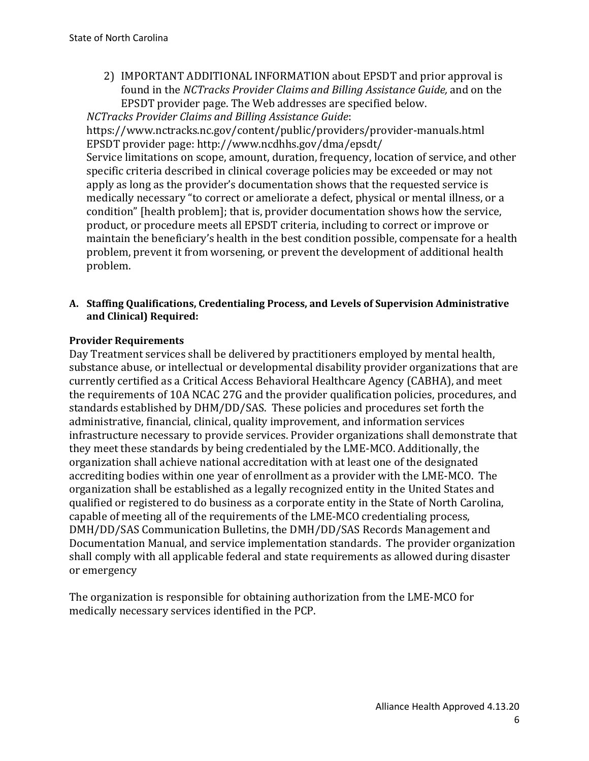2) IMPORTANT ADDITIONAL INFORMATION about EPSDT and prior approval is found in the *NCTracks Provider Claims and Billing Assistance Guide,* and on the EPSDT provider page. The Web addresses are specified below.

*NCTracks Provider Claims and Billing Assistance Guide*:

https://www.nctracks.nc.gov/content/public/providers/provider-manuals.html EPSDT provider page: http://www.ncdhhs.gov/dma/epsdt/

Service limitations on scope, amount, duration, frequency, location of service, and other specific criteria described in clinical coverage policies may be exceeded or may not apply as long as the provider's documentation shows that the requested service is medically necessary "to correct or ameliorate a defect, physical or mental illness, or a condition" [health problem]; that is, provider documentation shows how the service, product, or procedure meets all EPSDT criteria, including to correct or improve or maintain the beneficiary's health in the best condition possible, compensate for a health problem, prevent it from worsening, or prevent the development of additional health problem.

# **A. Staffing Qualifications, Credentialing Process, and Levels of Supervision Administrative and Clinical) Required:**

## **Provider Requirements**

Day Treatment services shall be delivered by practitioners employed by mental health, substance abuse, or intellectual or developmental disability provider organizations that are currently certified as a Critical Access Behavioral Healthcare Agency (CABHA), and meet the requirements of 10A NCAC 27G and the provider qualification policies, procedures, and standards established by DHM/DD/SAS. These policies and procedures set forth the administrative, financial, clinical, quality improvement, and information services infrastructure necessary to provide services. Provider organizations shall demonstrate that they meet these standards by being credentialed by the LME-MCO. Additionally, the organization shall achieve national accreditation with at least one of the designated accrediting bodies within one year of enrollment as a provider with the LME-MCO. The organization shall be established as a legally recognized entity in the United States and qualified or registered to do business as a corporate entity in the State of North Carolina, capable of meeting all of the requirements of the LME-MCO credentialing process, DMH/DD/SAS Communication Bulletins, the DMH/DD/SAS Records Management and Documentation Manual, and service implementation standards. The provider organization shall comply with all applicable federal and state requirements as allowed during disaster or emergency

The organization is responsible for obtaining authorization from the LME-MCO for medically necessary services identified in the PCP.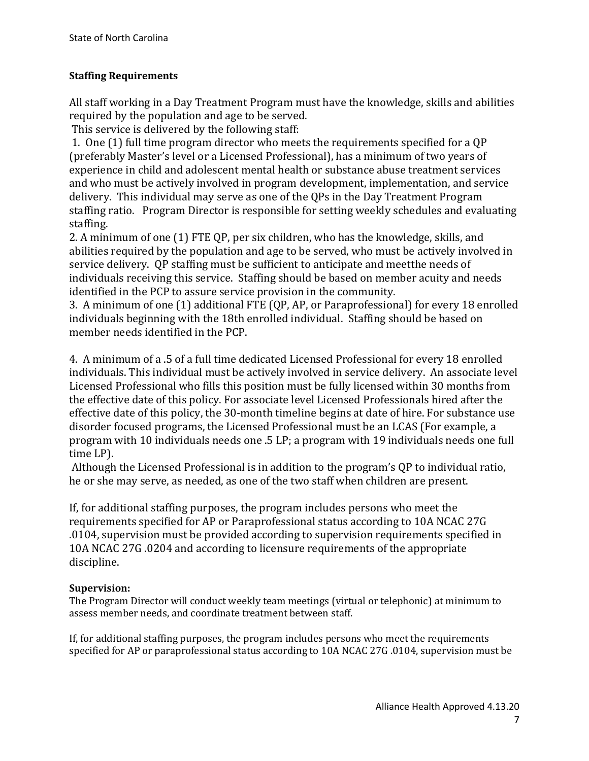# **Staffing Requirements**

All staff working in a Day Treatment Program must have the knowledge, skills and abilities required by the population and age to be served.

This service is delivered by the following staff:

1. One (1) full time program director who meets the requirements specified for a QP (preferably Master's level or a Licensed Professional), has a minimum of two years of experience in child and adolescent mental health or substance abuse treatment services and who must be actively involved in program development, implementation, and service delivery. This individual may serve as one of the QPs in the Day Treatment Program staffing ratio. Program Director is responsible for setting weekly schedules and evaluating staffing.

2. A minimum of one (1) FTE QP, per six children, who has the knowledge, skills, and abilities required by the population and age to be served, who must be actively involved in service delivery. QP staffing must be sufficient to anticipate and meetthe needs of individuals receiving this service. Staffing should be based on member acuity and needs identified in the PCP to assure service provision in the community.

3. A minimum of one (1) additional FTE (QP, AP, or Paraprofessional) for every 18 enrolled individuals beginning with the 18th enrolled individual. Staffing should be based on member needs identified in the PCP.

4. A minimum of a .5 of a full time dedicated Licensed Professional for every 18 enrolled individuals. This individual must be actively involved in service delivery. An associate level Licensed Professional who fills this position must be fully licensed within 30 months from the effective date of this policy. For associate level Licensed Professionals hired after the effective date of this policy, the 30-month timeline begins at date of hire. For substance use disorder focused programs, the Licensed Professional must be an LCAS (For example, a program with 10 individuals needs one .5 LP; a program with 19 individuals needs one full time LP).

Although the Licensed Professional is in addition to the program's QP to individual ratio, he or she may serve, as needed, as one of the two staff when children are present.

If, for additional staffing purposes, the program includes persons who meet the requirements specified for AP or Paraprofessional status according to 10A NCAC 27G .0104, supervision must be provided according to supervision requirements specified in 10A NCAC 27G .0204 and according to licensure requirements of the appropriate discipline.

# **Supervision:**

The Program Director will conduct weekly team meetings (virtual or telephonic) at minimum to assess member needs, and coordinate treatment between staff.

If, for additional staffing purposes, the program includes persons who meet the requirements specified for AP or paraprofessional status according to 10A NCAC 27G .0104, supervision must be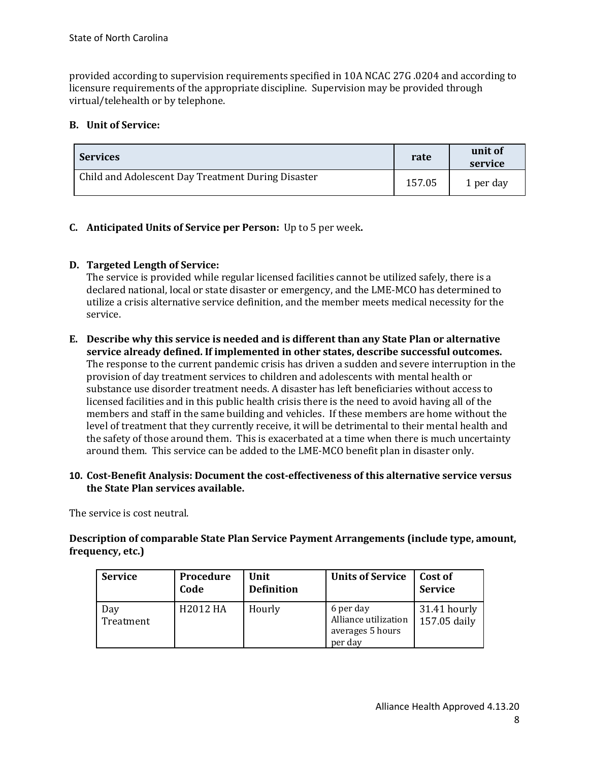provided according to supervision requirements specified in 10A NCAC 27G .0204 and according to licensure requirements of the appropriate discipline. Supervision may be provided through virtual/telehealth or by telephone.

### **B. Unit of Service:**

| <b>Services</b>                                    | rate   | unit of<br>service |
|----------------------------------------------------|--------|--------------------|
| Child and Adolescent Day Treatment During Disaster | 157.05 | 1 per day          |

## **C. Anticipated Units of Service per Person:** Up to 5 per week**.**

## **D. Targeted Length of Service:**

The service is provided while regular licensed facilities cannot be utilized safely, there is a declared national, local or state disaster or emergency, and the LME-MCO has determined to utilize a crisis alternative service definition, and the member meets medical necessity for the service.

#### **E. Describe why this service is needed and is different than any State Plan or alternative service already defined. If implemented in other states, describe successful outcomes.** The response to the current pandemic crisis has driven a sudden and severe interruption in the provision of day treatment services to children and adolescents with mental health or substance use disorder treatment needs. A disaster has left beneficiaries without access to licensed facilities and in this public health crisis there is the need to avoid having all of the members and staff in the same building and vehicles. If these members are home without the level of treatment that they currently receive, it will be detrimental to their mental health and the safety of those around them. This is exacerbated at a time when there is much uncertainty around them. This service can be added to the LME-MCO benefit plan in disaster only.

### **10. Cost-Benefit Analysis: Document the cost-effectiveness of this alternative service versus the State Plan services available.**

The service is cost neutral.

**Description of comparable State Plan Service Payment Arrangements (include type, amount, frequency, etc.)**

| <b>Service</b>   | Procedure<br>Code | Unit<br><b>Definition</b> | <b>Units of Service</b>                                          | Cost of<br><b>Service</b>    |
|------------------|-------------------|---------------------------|------------------------------------------------------------------|------------------------------|
| Day<br>Treatment | H2012 HA          | Hourly                    | 6 per day<br>Alliance utilization<br>averages 5 hours<br>per day | 31.41 hourly<br>157.05 daily |